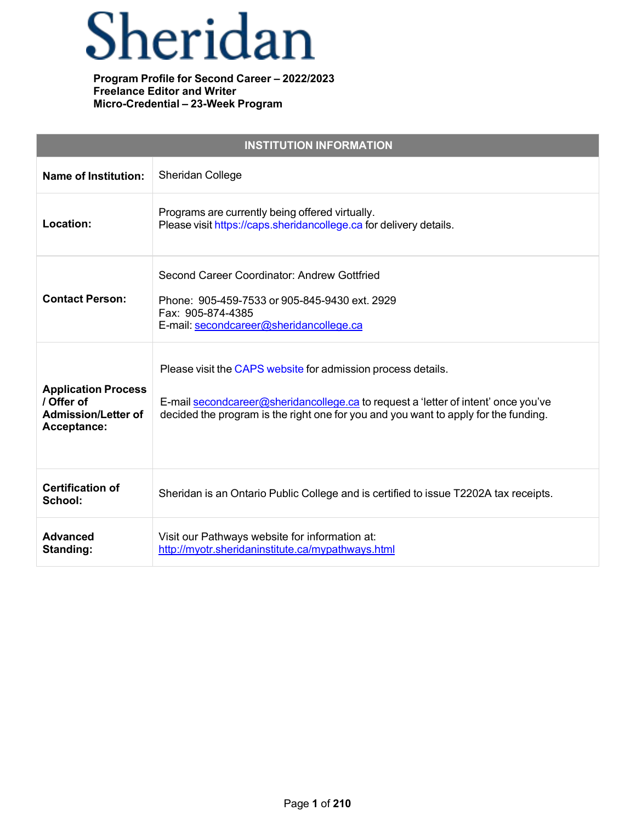# Sheridan

| <b>INSTITUTION INFORMATION</b>                                                        |                                                                                                                                                                                                                                           |
|---------------------------------------------------------------------------------------|-------------------------------------------------------------------------------------------------------------------------------------------------------------------------------------------------------------------------------------------|
| <b>Name of Institution:</b>                                                           | Sheridan College                                                                                                                                                                                                                          |
| Location:                                                                             | Programs are currently being offered virtually.<br>Please visit https://caps.sheridancollege.ca for delivery details.                                                                                                                     |
| <b>Contact Person:</b>                                                                | Second Career Coordinator: Andrew Gottfried<br>Phone: 905-459-7533 or 905-845-9430 ext. 2929<br>Fax: 905-874-4385<br>E-mail: secondcareer@sheridancollege.ca                                                                              |
| <b>Application Process</b><br>/ Offer of<br><b>Admission/Letter of</b><br>Acceptance: | Please visit the CAPS website for admission process details.<br>E-mail secondcareer@sheridancollege.ca to request a 'letter of intent' once you've<br>decided the program is the right one for you and you want to apply for the funding. |
| <b>Certification of</b><br>School:                                                    | Sheridan is an Ontario Public College and is certified to issue T2202A tax receipts.                                                                                                                                                      |
| <b>Advanced</b><br>Standing:                                                          | Visit our Pathways website for information at:<br>http://myotr.sheridaninstitute.ca/mypathways.html                                                                                                                                       |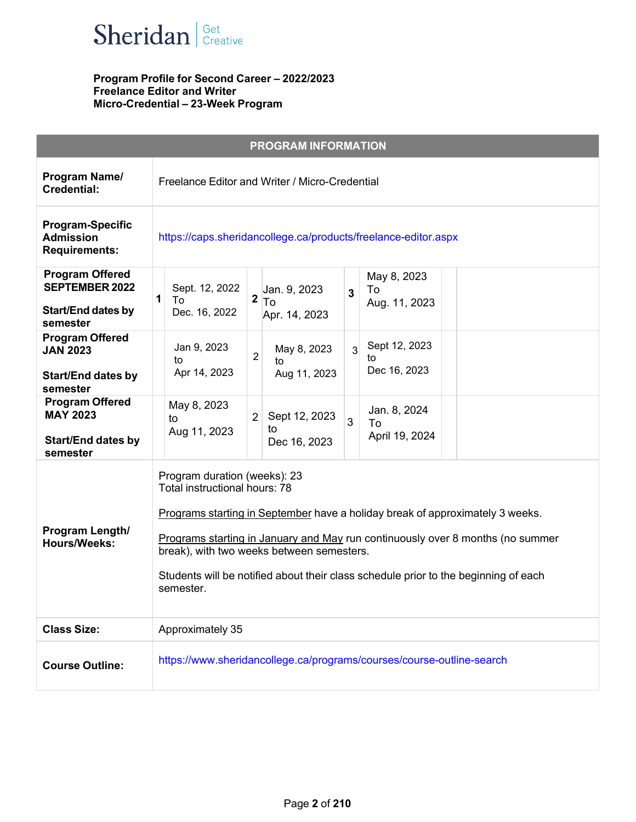

|                                                                                          | <b>PROGRAM INFORMATION</b>                                                                                                                                                                                                                                                                                                                                                        |
|------------------------------------------------------------------------------------------|-----------------------------------------------------------------------------------------------------------------------------------------------------------------------------------------------------------------------------------------------------------------------------------------------------------------------------------------------------------------------------------|
| Program Name/<br><b>Credential:</b>                                                      | Freelance Editor and Writer / Micro-Credential                                                                                                                                                                                                                                                                                                                                    |
| <b>Program-Specific</b><br><b>Admission</b><br><b>Requirements:</b>                      | https://caps.sheridancollege.ca/products/freelance-editor.aspx                                                                                                                                                                                                                                                                                                                    |
| <b>Program Offered</b><br><b>SEPTEMBER 2022</b><br><b>Start/End dates by</b><br>semester | May 8, 2023<br>Sept. 12, 2022<br>Jan. 9, 2023<br>To<br>$\overline{3}$<br>1<br>$2 T_0 $<br>To<br>Aug. 11, 2023<br>Dec. 16, 2022<br>Apr. 14, 2023                                                                                                                                                                                                                                   |
| <b>Program Offered</b><br><b>JAN 2023</b><br><b>Start/End dates by</b><br>semester       | Sept 12, 2023<br>Jan 9, 2023<br>May 8, 2023<br>$\overline{3}$<br>$\overline{2}$<br>to<br>to<br>to<br>Dec 16, 2023<br>Apr 14, 2023<br>Aug 11, 2023                                                                                                                                                                                                                                 |
| <b>Program Offered</b><br><b>MAY 2023</b><br><b>Start/End dates by</b><br>semester       | May 8, 2023<br>Jan. 8, 2024<br>Sept 12, 2023<br>$\overline{2}$<br>to<br>3<br>To<br>to<br>Aug 11, 2023<br>April 19, 2024<br>Dec 16, 2023                                                                                                                                                                                                                                           |
| Program Length/<br><b>Hours/Weeks:</b>                                                   | Program duration (weeks): 23<br>Total instructional hours: 78<br>Programs starting in September have a holiday break of approximately 3 weeks.<br>Programs starting in January and May run continuously over 8 months (no summer<br>break), with two weeks between semesters.<br>Students will be notified about their class schedule prior to the beginning of each<br>semester. |
| <b>Class Size:</b>                                                                       | Approximately 35                                                                                                                                                                                                                                                                                                                                                                  |
| <b>Course Outline:</b>                                                                   | https://www.sheridancollege.ca/programs/courses/course-outline-search                                                                                                                                                                                                                                                                                                             |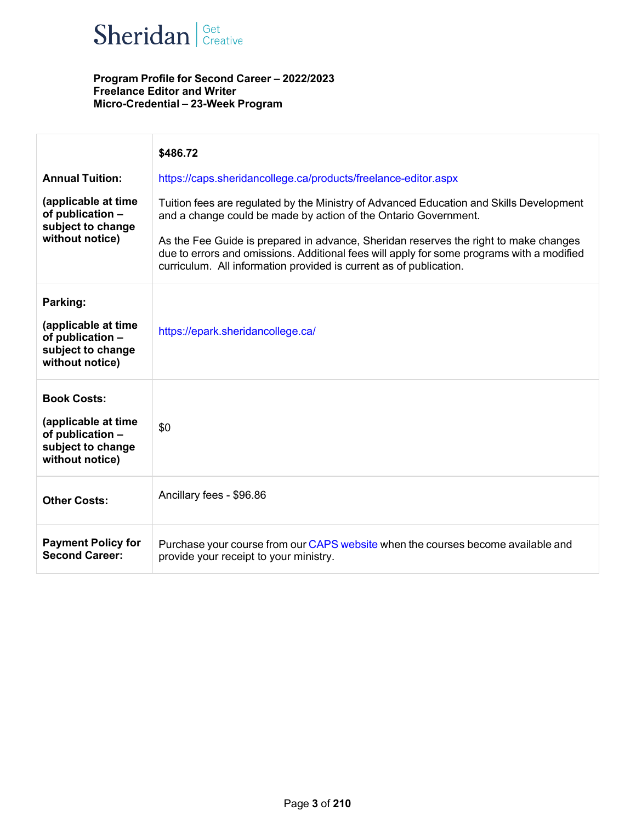

|                                                                                                       | \$486.72                                                                                                                                                                                                                                                |
|-------------------------------------------------------------------------------------------------------|---------------------------------------------------------------------------------------------------------------------------------------------------------------------------------------------------------------------------------------------------------|
| <b>Annual Tuition:</b>                                                                                | https://caps.sheridancollege.ca/products/freelance-editor.aspx                                                                                                                                                                                          |
| (applicable at time<br>of publication -<br>subject to change<br>without notice)                       | Tuition fees are regulated by the Ministry of Advanced Education and Skills Development<br>and a change could be made by action of the Ontario Government.                                                                                              |
|                                                                                                       | As the Fee Guide is prepared in advance, Sheridan reserves the right to make changes<br>due to errors and omissions. Additional fees will apply for some programs with a modified<br>curriculum. All information provided is current as of publication. |
| Parking:                                                                                              |                                                                                                                                                                                                                                                         |
| (applicable at time<br>of publication -<br>subject to change<br>without notice)                       | https://epark.sheridancollege.ca/                                                                                                                                                                                                                       |
| <b>Book Costs:</b><br>(applicable at time<br>of publication -<br>subject to change<br>without notice) | \$0                                                                                                                                                                                                                                                     |
| <b>Other Costs:</b>                                                                                   | Ancillary fees - \$96.86                                                                                                                                                                                                                                |
| <b>Payment Policy for</b><br><b>Second Career:</b>                                                    | Purchase your course from our CAPS website when the courses become available and<br>provide your receipt to your ministry.                                                                                                                              |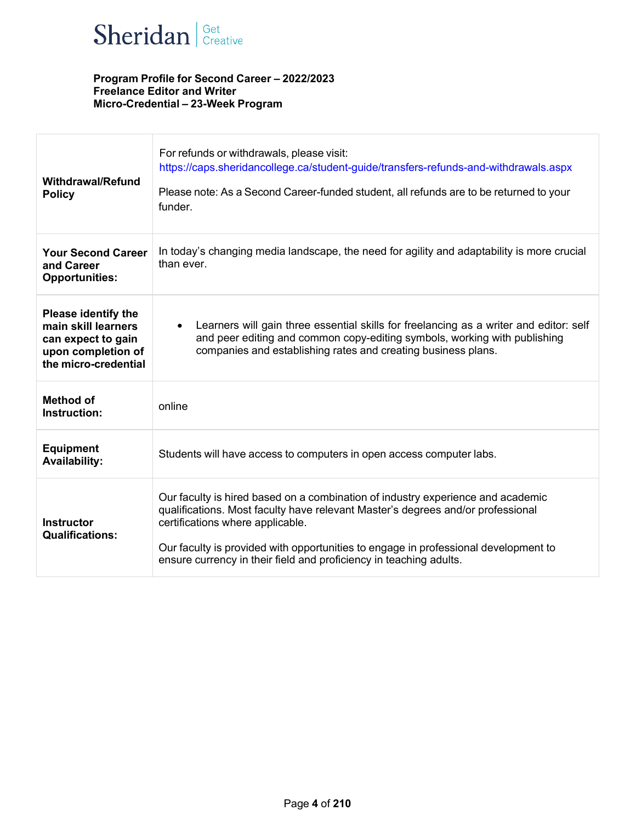

| <b>Withdrawal/Refund</b><br><b>Policy</b>                                                                             | For refunds or withdrawals, please visit:<br>https://caps.sheridancollege.ca/student-guide/transfers-refunds-and-withdrawals.aspx<br>Please note: As a Second Career-funded student, all refunds are to be returned to your<br>funder.                                                                                                                              |
|-----------------------------------------------------------------------------------------------------------------------|---------------------------------------------------------------------------------------------------------------------------------------------------------------------------------------------------------------------------------------------------------------------------------------------------------------------------------------------------------------------|
| <b>Your Second Career</b><br>and Career<br><b>Opportunities:</b>                                                      | In today's changing media landscape, the need for agility and adaptability is more crucial<br>than ever.                                                                                                                                                                                                                                                            |
| <b>Please identify the</b><br>main skill learners<br>can expect to gain<br>upon completion of<br>the micro-credential | Learners will gain three essential skills for freelancing as a writer and editor: self<br>and peer editing and common copy-editing symbols, working with publishing<br>companies and establishing rates and creating business plans.                                                                                                                                |
| Method of<br>Instruction:                                                                                             | online                                                                                                                                                                                                                                                                                                                                                              |
| <b>Equipment</b><br><b>Availability:</b>                                                                              | Students will have access to computers in open access computer labs.                                                                                                                                                                                                                                                                                                |
| <b>Instructor</b><br><b>Qualifications:</b>                                                                           | Our faculty is hired based on a combination of industry experience and academic<br>qualifications. Most faculty have relevant Master's degrees and/or professional<br>certifications where applicable.<br>Our faculty is provided with opportunities to engage in professional development to<br>ensure currency in their field and proficiency in teaching adults. |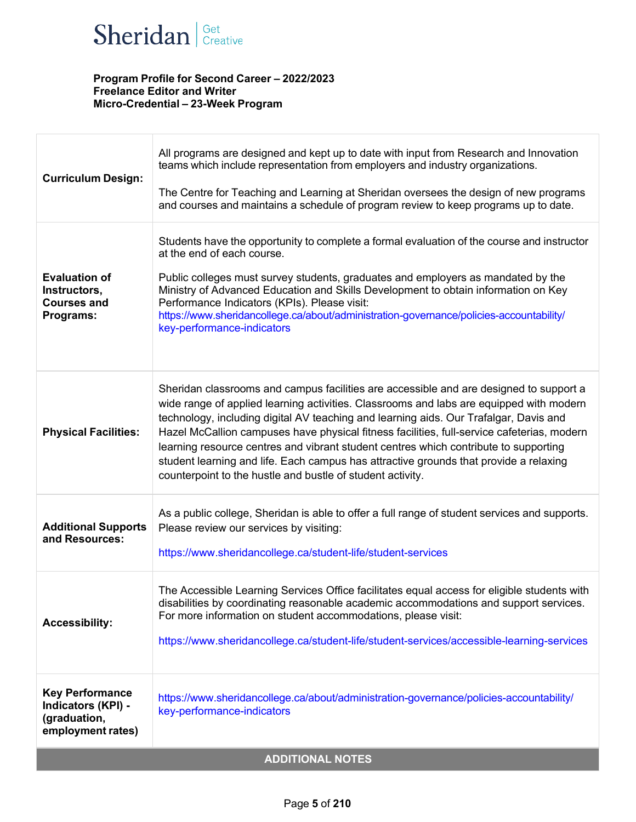

| <b>Curriculum Design:</b>                                                         | All programs are designed and kept up to date with input from Research and Innovation<br>teams which include representation from employers and industry organizations.<br>The Centre for Teaching and Learning at Sheridan oversees the design of new programs<br>and courses and maintains a schedule of program review to keep programs up to date.                                                                                                                                                                                                                                                                   |  |
|-----------------------------------------------------------------------------------|-------------------------------------------------------------------------------------------------------------------------------------------------------------------------------------------------------------------------------------------------------------------------------------------------------------------------------------------------------------------------------------------------------------------------------------------------------------------------------------------------------------------------------------------------------------------------------------------------------------------------|--|
| <b>Evaluation of</b><br>Instructors,<br><b>Courses and</b><br>Programs:           | Students have the opportunity to complete a formal evaluation of the course and instructor<br>at the end of each course.<br>Public colleges must survey students, graduates and employers as mandated by the<br>Ministry of Advanced Education and Skills Development to obtain information on Key<br>Performance Indicators (KPIs). Please visit:<br>https://www.sheridancollege.ca/about/administration-governance/policies-accountability/<br>key-performance-indicators                                                                                                                                             |  |
| <b>Physical Facilities:</b>                                                       | Sheridan classrooms and campus facilities are accessible and are designed to support a<br>wide range of applied learning activities. Classrooms and labs are equipped with modern<br>technology, including digital AV teaching and learning aids. Our Trafalgar, Davis and<br>Hazel McCallion campuses have physical fitness facilities, full-service cafeterias, modern<br>learning resource centres and vibrant student centres which contribute to supporting<br>student learning and life. Each campus has attractive grounds that provide a relaxing<br>counterpoint to the hustle and bustle of student activity. |  |
| <b>Additional Supports</b><br>and Resources:                                      | As a public college, Sheridan is able to offer a full range of student services and supports.<br>Please review our services by visiting:<br>https://www.sheridancollege.ca/student-life/student-services                                                                                                                                                                                                                                                                                                                                                                                                                |  |
| <b>Accessibility:</b>                                                             | The Accessible Learning Services Office facilitates equal access for eligible students with<br>disabilities by coordinating reasonable academic accommodations and support services.<br>For more information on student accommodations, please visit:<br>https://www.sheridancollege.ca/student-life/student-services/accessible-learning-services                                                                                                                                                                                                                                                                      |  |
| <b>Key Performance</b><br>Indicators (KPI) -<br>(graduation,<br>employment rates) | https://www.sheridancollege.ca/about/administration-governance/policies-accountability/<br>key-performance-indicators                                                                                                                                                                                                                                                                                                                                                                                                                                                                                                   |  |
| <b>ADDITIONAL NOTES</b>                                                           |                                                                                                                                                                                                                                                                                                                                                                                                                                                                                                                                                                                                                         |  |